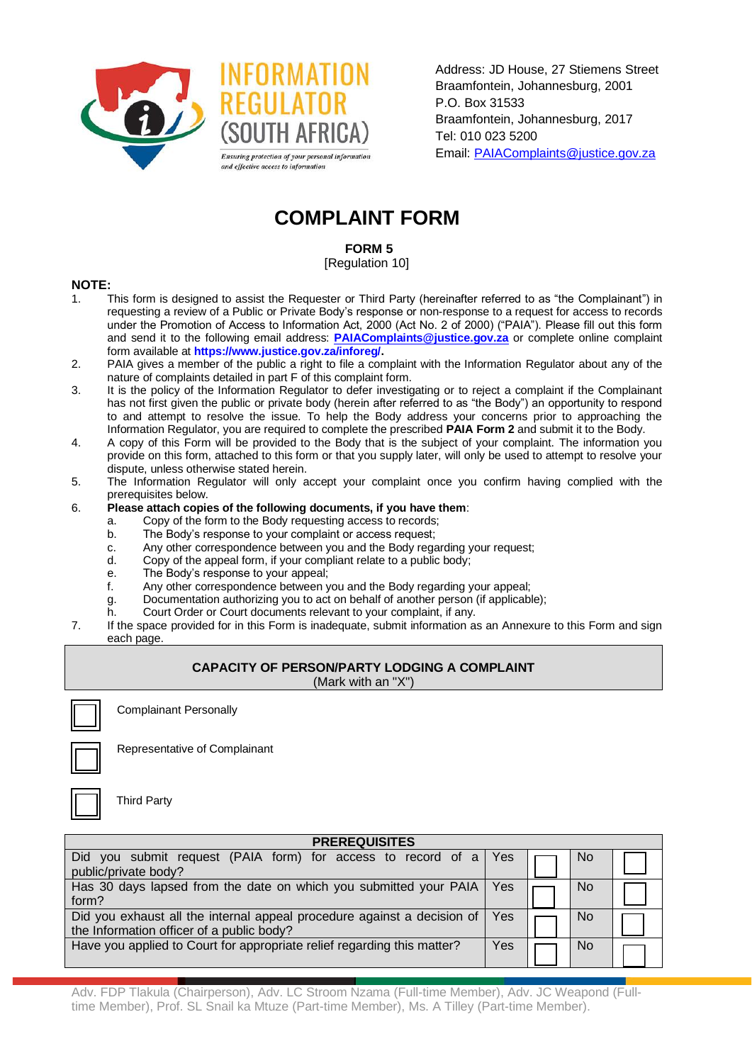

Address: JD House, 27 Stiemens Street Braamfontein, Johannesburg, 2001 P.O. Box 31533 Braamfontein, Johannesburg, 2017 Tel: 010 023 5200 Email: [PAIAComplaints@justice.gov.za](mailto:inforeg@justice.gov.za)

# **COMPLAINT FORM**

**FORM 5**

[Regulation 10]

## **NOTE:**

- 1. This form is designed to assist the Requester or Third Party (hereinafter referred to as "the Complainant") in requesting a review of a Public or Private Body's response or non-response to a request for access to records under the Promotion of Access to Information Act, 2000 (Act No. 2 of 2000) ("PAIA"). Please fill out this form and send it to the following email address: **[PAIAComplaints@justice.gov.za](mailto:inforeg@justice.gov.za)** or complete online complaint form available at **[https://www.justice.gov.za/inforeg/.](https://www.justice.gov.za/inforeg/)**
- 2. PAIA gives a member of the public a right to file a complaint with the Information Regulator about any of the nature of complaints detailed in part F of this complaint form.
- 3. It is the policy of the Information Regulator to defer investigating or to reject a complaint if the Complainant has not first given the public or private body (herein after referred to as "the Body") an opportunity to respond to and attempt to resolve the issue. To help the Body address your concerns prior to approaching the Information Regulator, you are required to complete the prescribed **PAIA Form 2** and submit it to the Body.
- 4. A copy of this Form will be provided to the Body that is the subject of your complaint. The information you provide on this form, attached to this form or that you supply later, will only be used to attempt to resolve your dispute, unless otherwise stated herein.
- 5. The Information Regulator will only accept your complaint once you confirm having complied with the prerequisites below.
- 6. **Please attach copies of the following documents, if you have them**:
	- a. Copy of the form to the Body requesting access to records;
	- b. The Body's response to your complaint or access request;
	- c. Any other correspondence between you and the Body regarding your request;
	- d. Copy of the appeal form, if your compliant relate to a public body;
	- e. The Body's response to your appeal;
	- f. Any other correspondence between you and the Body regarding your appeal;
	- g. Documentation authorizing you to act on behalf of another person (if applicable);
	- h. Court Order or Court documents relevant to your complaint, if any.
- 7. If the space provided for in this Form is inadequate, submit information as an Annexure to this Form and sign each page.

## **CAPACITY OF PERSON/PARTY LODGING A COMPLAINT**

(Mark with an "X")

Complainant Personally

Third Party



Representative of Complainant

**PREREQUISITES** Did you submit request (PAIA form) for access to record of a public/private body?  $Yes$   $|\Box$   $|$  No Has 30 days lapsed from the date on which you submitted your PAIA form?  $Yes$   $\Box$   $No$ Did you exhaust all the internal appeal procedure against a decision of the Information officer of a public body? Yes  $\overline{\phantom{a}}$  No Have you applied to Court for appropriate relief regarding this matter?  $\forall$ es  $\forall$ 

Adv. FDP Tlakula (Chairperson), Adv. LC Stroom Nzama (Full-time Member), Adv. JC Weapond (Fulltime Member), Prof. SL Snail ka Mtuze (Part-time Member), Ms. A Tilley (Part-time Member).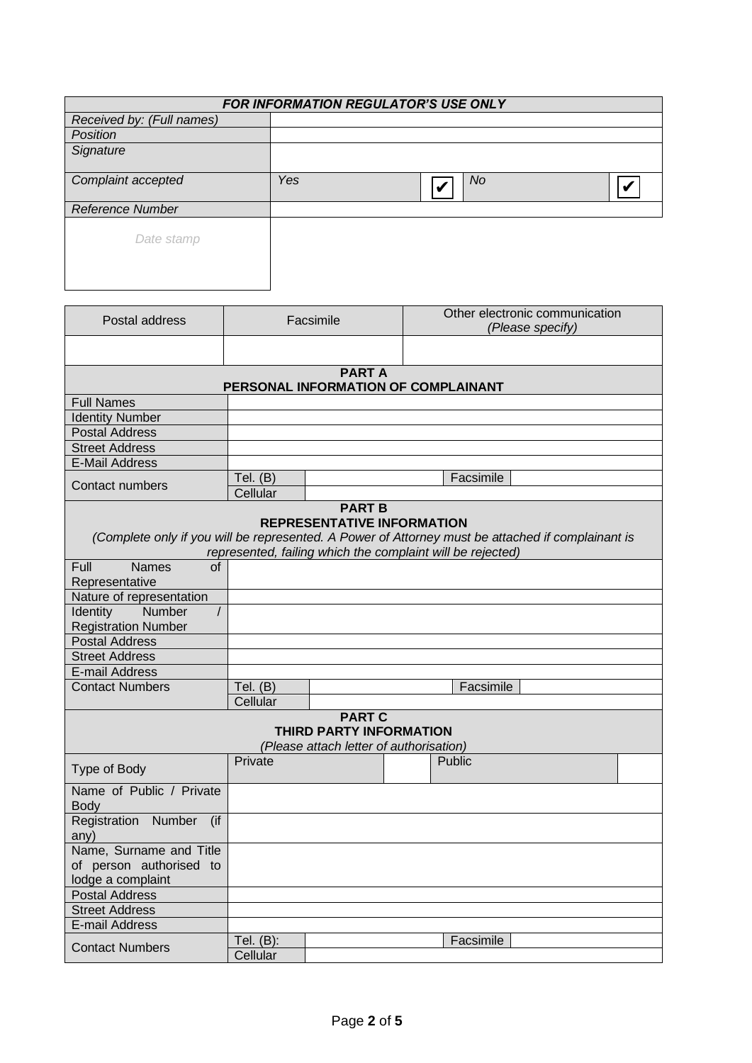| FOR INFORMATION REGULATOR'S USE ONLY |     |           |  |  |  |
|--------------------------------------|-----|-----------|--|--|--|
| Received by: (Full names)            |     |           |  |  |  |
| Position                             |     |           |  |  |  |
| Signature                            |     |           |  |  |  |
| Complaint accepted                   | Yes | <b>No</b> |  |  |  |
| <b>Reference Number</b>              |     |           |  |  |  |
| Date stamp                           |     |           |  |  |  |

| Postal address                                       | Facsimile              |                                         | Other electronic communication<br>(Please specify)                                                |  |  |  |
|------------------------------------------------------|------------------------|-----------------------------------------|---------------------------------------------------------------------------------------------------|--|--|--|
|                                                      |                        |                                         |                                                                                                   |  |  |  |
| <b>PART A</b><br>PERSONAL INFORMATION OF COMPLAINANT |                        |                                         |                                                                                                   |  |  |  |
| <b>Full Names</b>                                    |                        |                                         |                                                                                                   |  |  |  |
| <b>Identity Number</b>                               |                        |                                         |                                                                                                   |  |  |  |
| <b>Postal Address</b>                                |                        |                                         |                                                                                                   |  |  |  |
| <b>Street Address</b>                                |                        |                                         |                                                                                                   |  |  |  |
| <b>E-Mail Address</b>                                |                        |                                         |                                                                                                   |  |  |  |
| <b>Contact numbers</b>                               | Tel. $(B)$<br>Cellular |                                         | Facsimile                                                                                         |  |  |  |
|                                                      |                        |                                         |                                                                                                   |  |  |  |
| <b>PART B</b><br><b>REPRESENTATIVE INFORMATION</b>   |                        |                                         |                                                                                                   |  |  |  |
|                                                      |                        |                                         | (Complete only if you will be represented. A Power of Attorney must be attached if complainant is |  |  |  |
|                                                      |                        |                                         | represented, failing which the complaint will be rejected)                                        |  |  |  |
| <b>Names</b><br>Full<br>of                           |                        |                                         |                                                                                                   |  |  |  |
| Representative                                       |                        |                                         |                                                                                                   |  |  |  |
| Nature of representation                             |                        |                                         |                                                                                                   |  |  |  |
| Number<br>Identity<br>$\prime$                       |                        |                                         |                                                                                                   |  |  |  |
| <b>Registration Number</b>                           |                        |                                         |                                                                                                   |  |  |  |
| <b>Postal Address</b>                                |                        |                                         |                                                                                                   |  |  |  |
| <b>Street Address</b>                                |                        |                                         |                                                                                                   |  |  |  |
| E-mail Address                                       |                        |                                         |                                                                                                   |  |  |  |
| <b>Contact Numbers</b>                               | Tel. $(B)$             |                                         | Facsimile                                                                                         |  |  |  |
|                                                      | Cellular               |                                         |                                                                                                   |  |  |  |
|                                                      |                        | <b>PART C</b>                           |                                                                                                   |  |  |  |
|                                                      |                        | <b>THIRD PARTY INFORMATION</b>          |                                                                                                   |  |  |  |
|                                                      |                        | (Please attach letter of authorisation) |                                                                                                   |  |  |  |
|                                                      | Private                |                                         | Public                                                                                            |  |  |  |
| Type of Body                                         |                        |                                         |                                                                                                   |  |  |  |
| Name of Public / Private<br><b>Body</b>              |                        |                                         |                                                                                                   |  |  |  |
| Registration Number<br>(if                           |                        |                                         |                                                                                                   |  |  |  |
| any)                                                 |                        |                                         |                                                                                                   |  |  |  |
| Name, Surname and Title                              |                        |                                         |                                                                                                   |  |  |  |
| of person authorised to                              |                        |                                         |                                                                                                   |  |  |  |
| lodge a complaint                                    |                        |                                         |                                                                                                   |  |  |  |
| <b>Postal Address</b>                                |                        |                                         |                                                                                                   |  |  |  |
| <b>Street Address</b>                                |                        |                                         |                                                                                                   |  |  |  |
| E-mail Address                                       |                        |                                         |                                                                                                   |  |  |  |
| <b>Contact Numbers</b>                               | Tel. (B):              |                                         | Facsimile                                                                                         |  |  |  |
|                                                      | Cellular               |                                         |                                                                                                   |  |  |  |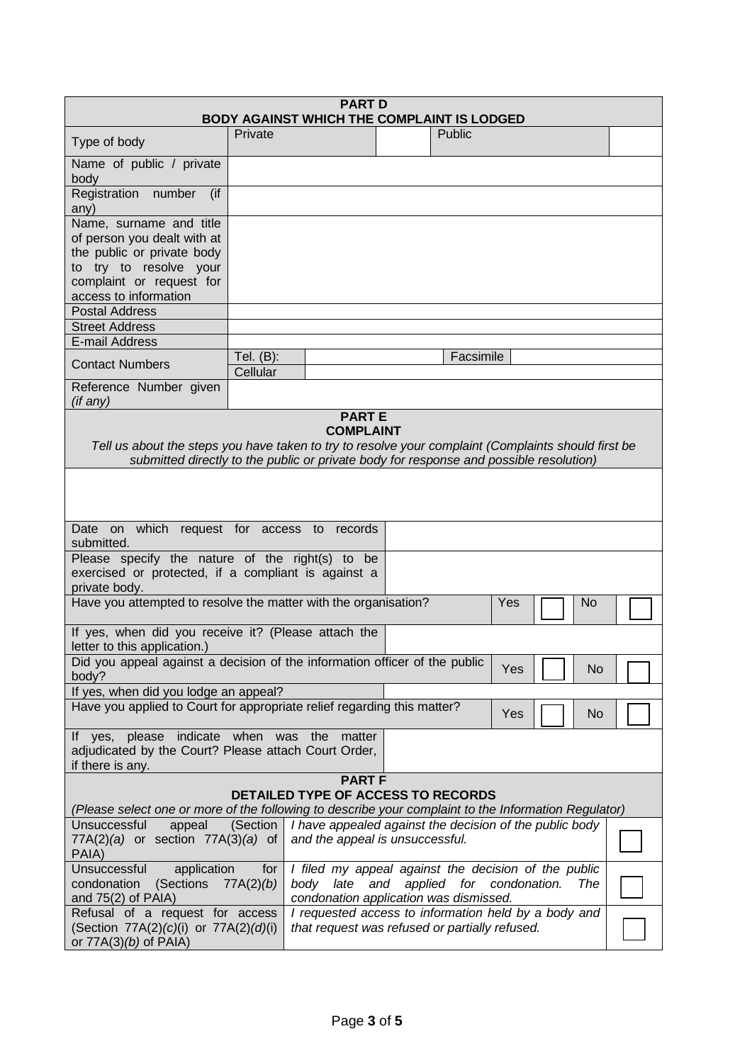| <b>PART D</b><br><b>BODY AGAINST WHICH THE COMPLAINT IS LODGED</b>                                                                                                                            |                                                                                                                                                                     |                                                                                            |  |           |  |  |  |  |
|-----------------------------------------------------------------------------------------------------------------------------------------------------------------------------------------------|---------------------------------------------------------------------------------------------------------------------------------------------------------------------|--------------------------------------------------------------------------------------------|--|-----------|--|--|--|--|
| Type of body                                                                                                                                                                                  | Private                                                                                                                                                             |                                                                                            |  | Public    |  |  |  |  |
| Name of public / private<br>body                                                                                                                                                              |                                                                                                                                                                     |                                                                                            |  |           |  |  |  |  |
| Registration number<br>$($ if<br>any)                                                                                                                                                         |                                                                                                                                                                     |                                                                                            |  |           |  |  |  |  |
| Name, surname and title<br>of person you dealt with at                                                                                                                                        |                                                                                                                                                                     |                                                                                            |  |           |  |  |  |  |
| the public or private body<br>to try to resolve your                                                                                                                                          |                                                                                                                                                                     |                                                                                            |  |           |  |  |  |  |
| complaint or request for                                                                                                                                                                      |                                                                                                                                                                     |                                                                                            |  |           |  |  |  |  |
| access to information<br><b>Postal Address</b>                                                                                                                                                |                                                                                                                                                                     |                                                                                            |  |           |  |  |  |  |
| <b>Street Address</b>                                                                                                                                                                         |                                                                                                                                                                     |                                                                                            |  |           |  |  |  |  |
| E-mail Address                                                                                                                                                                                |                                                                                                                                                                     |                                                                                            |  |           |  |  |  |  |
| <b>Contact Numbers</b>                                                                                                                                                                        | Tel. $(B)$ :<br>Cellular                                                                                                                                            |                                                                                            |  | Facsimile |  |  |  |  |
| Reference Number given<br>(if any)                                                                                                                                                            |                                                                                                                                                                     |                                                                                            |  |           |  |  |  |  |
|                                                                                                                                                                                               |                                                                                                                                                                     | <b>PARTE</b>                                                                               |  |           |  |  |  |  |
|                                                                                                                                                                                               |                                                                                                                                                                     | <b>COMPLAINT</b>                                                                           |  |           |  |  |  |  |
| Tell us about the steps you have taken to try to resolve your complaint (Complaints should first be<br>submitted directly to the public or private body for response and possible resolution) |                                                                                                                                                                     |                                                                                            |  |           |  |  |  |  |
|                                                                                                                                                                                               |                                                                                                                                                                     |                                                                                            |  |           |  |  |  |  |
|                                                                                                                                                                                               |                                                                                                                                                                     |                                                                                            |  |           |  |  |  |  |
|                                                                                                                                                                                               |                                                                                                                                                                     |                                                                                            |  |           |  |  |  |  |
| Date on which request for access to records<br>submitted.                                                                                                                                     |                                                                                                                                                                     |                                                                                            |  |           |  |  |  |  |
| Please specify the nature of the right(s) to be                                                                                                                                               |                                                                                                                                                                     |                                                                                            |  |           |  |  |  |  |
|                                                                                                                                                                                               | exercised or protected, if a compliant is against a                                                                                                                 |                                                                                            |  |           |  |  |  |  |
|                                                                                                                                                                                               | private body.<br>Have you attempted to resolve the matter with the organisation?<br>Yes<br>No                                                                       |                                                                                            |  |           |  |  |  |  |
| If yes, when did you receive it? (Please attach the                                                                                                                                           |                                                                                                                                                                     |                                                                                            |  |           |  |  |  |  |
| letter to this application.)                                                                                                                                                                  |                                                                                                                                                                     |                                                                                            |  |           |  |  |  |  |
| Did you appeal against a decision of the information officer of the public<br>Yes<br>No.<br>body?                                                                                             |                                                                                                                                                                     |                                                                                            |  |           |  |  |  |  |
| If yes, when did you lodge an appeal?                                                                                                                                                         |                                                                                                                                                                     |                                                                                            |  |           |  |  |  |  |
| Have you applied to Court for appropriate relief regarding this matter?<br>Yes<br>No                                                                                                          |                                                                                                                                                                     |                                                                                            |  |           |  |  |  |  |
| If yes, please indicate when was the matter                                                                                                                                                   |                                                                                                                                                                     |                                                                                            |  |           |  |  |  |  |
| adjudicated by the Court? Please attach Court Order,<br>if there is any.                                                                                                                      |                                                                                                                                                                     |                                                                                            |  |           |  |  |  |  |
| <b>PART F</b>                                                                                                                                                                                 |                                                                                                                                                                     |                                                                                            |  |           |  |  |  |  |
| <b>DETAILED TYPE OF ACCESS TO RECORDS</b><br>(Please select one or more of the following to describe your complaint to the Information Regulator)                                             |                                                                                                                                                                     |                                                                                            |  |           |  |  |  |  |
| Unsuccessful<br>appeal<br>$77A(2)(a)$ or section $77A(3)(a)$ of<br>PAIA)                                                                                                                      | (Section                                                                                                                                                            | I have appealed against the decision of the public body<br>and the appeal is unsuccessful. |  |           |  |  |  |  |
| Unsuccessful<br>application<br>(Sections<br>condonation<br>and $75(2)$ of PAIA)                                                                                                               | I filed my appeal against the decision of the public<br>for<br>body late and applied for condonation.<br>77A(2)(b)<br>The<br>condonation application was dismissed. |                                                                                            |  |           |  |  |  |  |
| Refusal of a request for access<br>(Section 77A(2)(c)(i) or 77A(2)(d)(i)<br>or $77A(3)(b)$ of PAIA)                                                                                           | I requested access to information held by a body and<br>that request was refused or partially refused.                                                              |                                                                                            |  |           |  |  |  |  |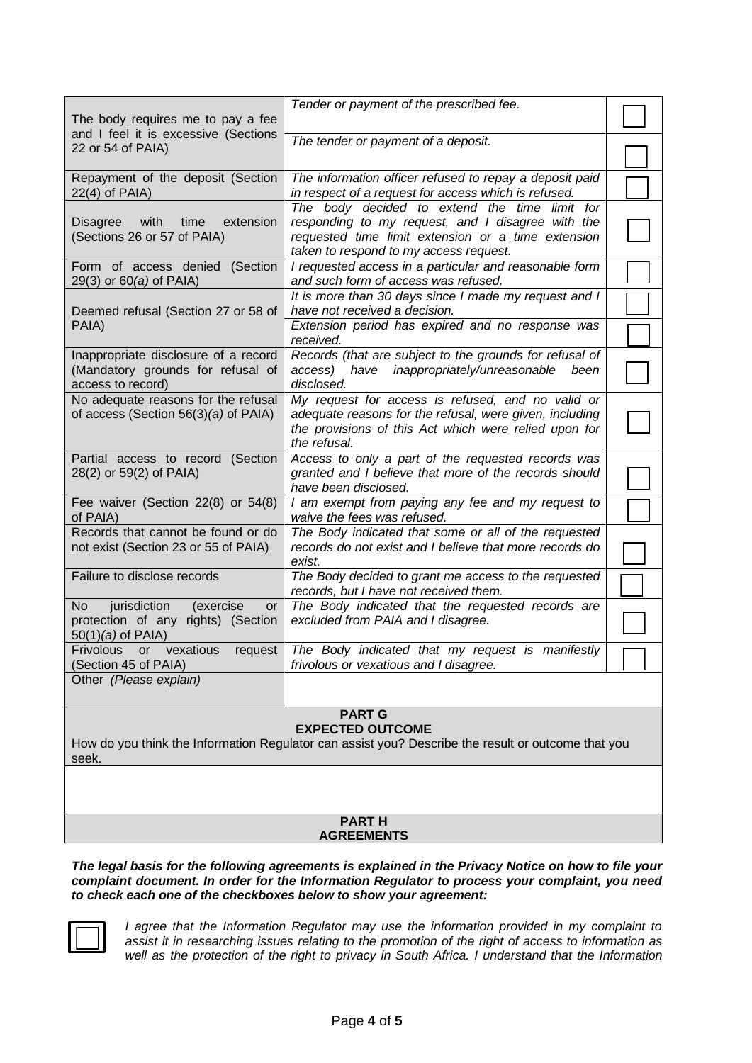| The body requires me to pay a fee                                                                                | Tender or payment of the prescribed fee.                                                                                                                                                           |  |  |
|------------------------------------------------------------------------------------------------------------------|----------------------------------------------------------------------------------------------------------------------------------------------------------------------------------------------------|--|--|
| and I feel it is excessive (Sections<br>22 or 54 of PAIA)                                                        | The tender or payment of a deposit.                                                                                                                                                                |  |  |
| Repayment of the deposit (Section<br>$22(4)$ of PAIA)                                                            | The information officer refused to repay a deposit paid<br>in respect of a request for access which is refused.                                                                                    |  |  |
| with<br>time<br>extension<br><b>Disagree</b><br>(Sections 26 or 57 of PAIA)                                      | The body decided to extend the time limit for<br>responding to my request, and I disagree with the<br>requested time limit extension or a time extension<br>taken to respond to my access request. |  |  |
| Form of access denied (Section<br>29(3) or 60(a) of PAIA)                                                        | I requested access in a particular and reasonable form<br>and such form of access was refused.                                                                                                     |  |  |
| Deemed refusal (Section 27 or 58 of                                                                              | It is more than 30 days since I made my request and I<br>have not received a decision.                                                                                                             |  |  |
| PAIA)                                                                                                            | Extension period has expired and no response was<br>received.                                                                                                                                      |  |  |
| Inappropriate disclosure of a record<br>(Mandatory grounds for refusal of<br>access to record)                   | Records (that are subject to the grounds for refusal of<br>access)<br>have inappropriately/unreasonable<br>been<br>disclosed.                                                                      |  |  |
| No adequate reasons for the refusal<br>of access (Section $56(3)(a)$ of PAIA)                                    | My request for access is refused, and no valid or<br>adequate reasons for the refusal, were given, including<br>the provisions of this Act which were relied upon for<br>the refusal.              |  |  |
| Partial access to record (Section<br>28(2) or 59(2) of PAIA)                                                     | Access to only a part of the requested records was<br>granted and I believe that more of the records should<br>have been disclosed.                                                                |  |  |
| Fee waiver (Section 22(8) or 54(8)<br>of PAIA)                                                                   | I am exempt from paying any fee and my request to<br>waive the fees was refused.                                                                                                                   |  |  |
| Records that cannot be found or do<br>not exist (Section 23 or 55 of PAIA)                                       | The Body indicated that some or all of the requested<br>records do not exist and I believe that more records do<br>exist.                                                                          |  |  |
| Failure to disclose records                                                                                      | The Body decided to grant me access to the requested<br>records, but I have not received them.                                                                                                     |  |  |
| jurisdiction<br><b>No</b><br>(exercise<br><b>or</b><br>protection of any rights) (Section<br>$50(1)(a)$ of PAIA) | The Body indicated that the requested records are<br>excluded from PAIA and I disagree.                                                                                                            |  |  |
| Frivolous<br>vexatious<br>request<br><b>or</b><br>(Section 45 of PAIA)                                           | The Body indicated that my request is manifestly<br>frivolous or vexatious and I disagree.                                                                                                         |  |  |
| Other (Please explain)                                                                                           |                                                                                                                                                                                                    |  |  |

### **PART G EXPECTED OUTCOME**

How do you think the Information Regulator can assist you? Describe the result or outcome that you seek.

### **PART H AGREEMENTS**

*The legal basis for the following agreements is explained in the Privacy Notice on how to file your complaint document. In order for the Information Regulator to process your complaint, you need to check each one of the checkboxes below to show your agreement:*



*I agree that the Information Regulator may use the information provided in my complaint to assist it in researching issues relating to the promotion of the right of access to information as*  well as the protection of the right to privacy in South Africa. I understand that the Information